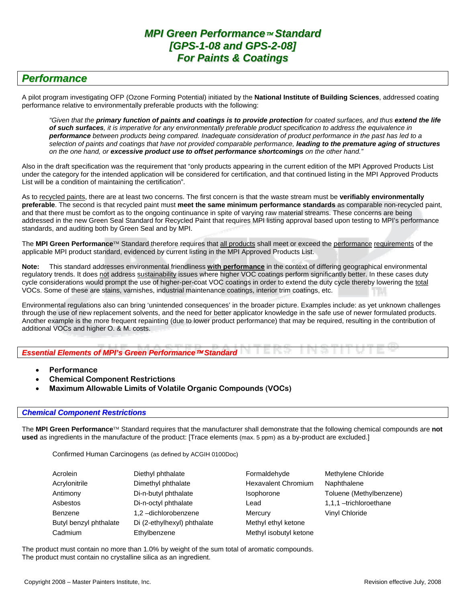# *Performance*

A pilot program investigating OFP (Ozone Forming Potential) initiated by the **National Institute of Building Sciences**, addressed coating performance relative to environmentally preferable products with the following:

*"Given that the primary function of paints and coatings is to provide protection for coated surfaces, and thus extend the life of such surfaces, it is imperative for any environmentally preferable product specification to address the equivalence in performance between products being compared. Inadequate consideration of product performance in the past has led to a selection of paints and coatings that have not provided comparable performance, leading to the premature aging of structures on the one hand, or excessive product use to offset performance shortcomings on the other hand."* 

Also in the draft specification was the requirement that "only products appearing in the current edition of the MPI Approved Products List under the category for the intended application will be considered for certification, and that continued listing in the MPI Approved Products List will be a condition of maintaining the certification".

As to recycled paints, there are at least two concerns. The first concern is that the waste stream must be **verifiably environmentally preferable**. The second is that recycled paint must **meet the same minimum performance standards** as comparable non-recycled paint, and that there must be comfort as to the ongoing continuance in spite of varying raw material streams. These concerns are being addressed in the new Green Seal Standard for Recycled Paint that requires MPI listing approval based upon testing to MPI's performance standards, and auditing both by Green Seal and by MPI.

The **MPI Green Performance**™ Standard therefore requires that all products shall meet or exceed the performance requirements of the applicable MPI product standard, evidenced by current listing in the MPI Approved Products List.

**Note:** This standard addresses environmental friendliness **with performance** in the context of differing geographical environmental regulatory trends. It does not address sustainability issues where higher VOC coatings perform significantly better. In these cases duty cycle considerations would prompt the use of higher-per-coat VOC coatings in order to extend the duty cycle thereby lowering the total VOCs. Some of these are stains, varnishes, industrial maintenance coatings, interior trim coatings, etc.

Environmental regulations also can bring 'unintended consequences' in the broader picture. Examples include: as yet unknown challenges through the use of new replacement solvents, and the need for better applicator knowledge in the safe use of newer formulated products. Another example is the more frequent repainting (due to lower product performance) that may be required, resulting in the contribution of additional VOCs and higher O. & M. costs.

*Essential Elements of MPI's Green Performance*™ *Standard*

- **Performance**
- **Chemical Component Restrictions**
- **Maximum Allowable Limits of Volatile Organic Compounds (VOCs)**

## *Chemical Component Restrictions*

The **MPI Green Performance**™ Standard requires that the manufacturer shall demonstrate that the following chemical compounds are **not used** as ingredients in the manufacture of the product: [Trace elements (max. 5 ppm) as a by-product are excluded.]

Confirmed Human Carcinogens (as defined by ACGIH 0100Doc)

| Acrolein               | Diethyl phthalate           | Formaldehyde               | Methylene Chloride      |
|------------------------|-----------------------------|----------------------------|-------------------------|
| Acrylonitrile          | Dimethyl phthalate          | <b>Hexavalent Chromium</b> | Naphthalene             |
| Antimony               | Di-n-butyl phthalate        | <b>Isophorone</b>          | Toluene (Methylbenzene) |
| Asbestos               | Di-n-octyl phthalate        | Lead                       | 1,1,1 -trichloroethane  |
| Benzene                | 1,2-dichlorobenzene         | Mercury                    | Vinyl Chloride          |
| Butyl benzyl phthalate | Di (2-ethylhexyl) phthalate | Methyl ethyl ketone        |                         |
| Cadmium                | Ethylbenzene                | Methyl isobutyl ketone     |                         |

The product must contain no more than 1.0% by weight of the sum total of aromatic compounds. The product must contain no crystalline silica as an ingredient.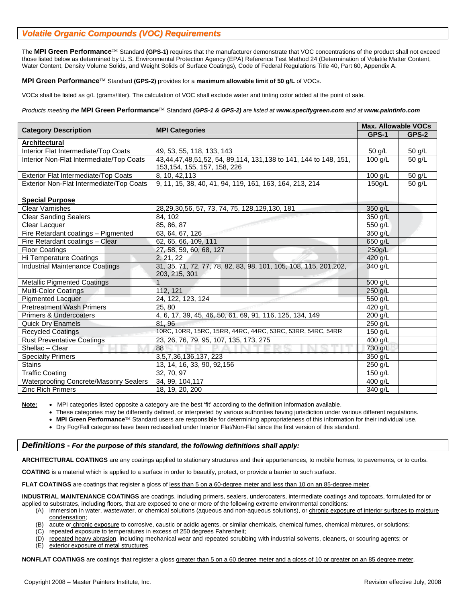## *Volatile Organic Compounds (VOC) Requirements*

The **MPI Green Performance**™ Standard **(GPS-1)** requires that the manufacturer demonstrate that VOC concentrations of the product shall not exceed those listed below as determined by U. S. Environmental Protection Agency (EPA) Reference Test Method 24 (Determination of Volatile Matter Content, Water Content, Density Volume Solids, and Weight Solids of Surface Coatings), Code of Federal Regulations Title 40, Part 60, Appendix A.

## **MPI Green Performance**™ Standard **(GPS-2)** provides for a **maximum allowable limit of 50 g/L** of VOCs.

VOCs shall be listed as g/L (grams/liter). The calculation of VOC shall exclude water and tinting color added at the point of sale.

#### *Products meeting the* **MPI Green Performance**™ Standard *(GPS-1 & GPS-2) are listed at www.specifygreen.com and at www.paintinfo.com*

| <b>Category Description</b>              | <b>MPI Categories</b>                                                                           | <b>Max. Allowable VOCs</b> |        |  |
|------------------------------------------|-------------------------------------------------------------------------------------------------|----------------------------|--------|--|
|                                          |                                                                                                 | GPS-1                      | GPS-2  |  |
| <b>Architectural</b>                     |                                                                                                 |                            |        |  |
| Interior Flat Intermediate/Top Coats     | 49, 53, 55, 118, 133, 143                                                                       | 50 g/L                     | 50 g/L |  |
| Interior Non-Flat Intermediate/Top Coats | 43,44,47,48,51,52, 54, 89,114, 131,138 to 141, 144 to 148, 151,<br>153, 154, 155, 157, 158, 226 | $100$ g/L                  | 50 g/L |  |
| Exterior Flat Intermediate/Top Coats     | 8, 10, 42, 113                                                                                  | $100$ g/L                  | 50 g/L |  |
| Exterior Non-Flat Intermediate/Top Coats | 9, 11, 15, 38, 40, 41, 94, 119, 161, 163, 164, 213, 214                                         | 150g/L                     | 50 g/L |  |
|                                          |                                                                                                 |                            |        |  |
| <b>Special Purpose</b>                   |                                                                                                 |                            |        |  |
| <b>Clear Varnishes</b>                   | 28, 29, 30, 56, 57, 73, 74, 75, 128, 129, 130, 181                                              | 350 g/L                    |        |  |
| <b>Clear Sanding Sealers</b>             | 84, 102                                                                                         | 350 g/L                    |        |  |
| Clear Lacquer                            | 85, 86, 87                                                                                      | 550 g/L                    |        |  |
| Fire Retardant coatings - Pigmented      | 63, 64, 67, 126                                                                                 | 350 g/L                    |        |  |
| Fire Retardant coatings - Clear          | 62, 65, 66, 109, 111                                                                            | 650 g/L                    |        |  |
| <b>Floor Coatings</b>                    | 27, 58, 59, 60, 68, 127                                                                         | 250q/L                     |        |  |
| Hi Temperature Coatings                  | 2, 21, 22                                                                                       | 420 g/L                    |        |  |
| <b>Industrial Maintenance Coatings</b>   | 31, 35, 71, 72, 77, 78, 82, 83, 98, 101, 105, 108, 115, 201, 202,<br>203, 215, 301              | 340 g/L                    |        |  |
| <b>Metallic Pigmented Coatings</b>       | $\mathbf{1}$                                                                                    | 500 g/L                    |        |  |
| <b>Multi-Color Coatings</b>              | 112.121                                                                                         | 250 g/L                    |        |  |
| <b>Pigmented Lacquer</b>                 | 24, 122, 123, 124                                                                               | 550 g/L                    |        |  |
| <b>Pretreatment Wash Primers</b>         | 25, 80                                                                                          | 420 g/L                    |        |  |
| <b>Primers &amp; Undercoaters</b>        | 4, 6, 17, 39, 45, 46, 50, 61, 69, 91, 116, 125, 134, 149                                        | 200 g/L                    |        |  |
| <b>Quick Dry Enamels</b>                 | 81, 96                                                                                          | 250 g/L                    |        |  |
| <b>Recycled Coatings</b>                 | 10RC, 10RR, 15RC, 15RR, 44RC, 44RC, 53RC, 53RR, 54RC, 54RR                                      | 150 g/L                    |        |  |
| <b>Rust Preventative Coatings</b>        | 23, 26, 76, 79, 95, 107, 135, 173, 275                                                          | 400 $g/L$                  |        |  |
| Shellac - Clear                          | 88                                                                                              | 730 g/L                    |        |  |
| <b>Specialty Primers</b>                 | 3,5,7,36,136,137, 223                                                                           | 350 g/L                    |        |  |
| <b>Stains</b>                            | 13, 14, 16, 33, 90, 92, 156                                                                     | 250 g/L                    |        |  |
| <b>Traffic Coating</b>                   | 32, 70, 97                                                                                      | 150 $g/L$                  |        |  |
| Waterproofing Concrete/Masonry Sealers   | 34, 99, 104, 117                                                                                | 400 g/L                    |        |  |
| <b>Zinc Rich Primers</b>                 | 18, 19, 20, 200                                                                                 | 340 g/L                    |        |  |

**Note:** • MPI categories listed opposite a category are the best 'fit' according to the definition information available.

• These categories may be differently defined, or interpreted by various authorities having jurisdiction under various different regulations.

• **MPI Green Performance**™ Standard users are responsible for determining appropriateness of this information for their individual use.

• Dry Fog/Fall categories have been reclassified under Interior Flat/Non-Flat since the first version of this standard.

#### *Definitions - For the purpose of this standard, the following definitions shall apply:*

**ARCHITECTURAL COATINGS** are any coatings applied to stationary structures and their appurtenances, to mobile homes, to pavements, or to curbs.

**COATING** is a material which is applied to a surface in order to beautify, protect, or provide a barrier to such surface.

**FLAT COATINGS** are coatings that register a gloss of less than 5 on a 60-degree meter and less than 10 on an 85-degree meter.

**INDUSTRIAL MAINTENANCE COATINGS** are coatings, including primers, sealers, undercoaters, intermediate coatings and topcoats, formulated for or applied to substrates, including floors, that are exposed to one or more of the following extreme environmental conditions:

(A) immersion in water, wastewater, or chemical solutions (aqueous and non-aqueous solutions), or chronic exposure of interior surfaces to moisture condensation;

- (B) acute or chronic exposure to corrosive, caustic or acidic agents, or similar chemicals, chemical fumes, chemical mixtures, or solutions;
- (C) repeated exposure to temperatures in excess of 250 degrees Fahrenheit;
- (D) repeated heavy abrasion, including mechanical wear and repeated scrubbing with industrial solvents, cleaners, or scouring agents; or
- (E) exterior exposure of metal structures.

**NONFLAT COATINGS** are coatings that register a gloss greater than 5 on a 60 degree meter and a gloss of 10 or greater on an 85 degree meter.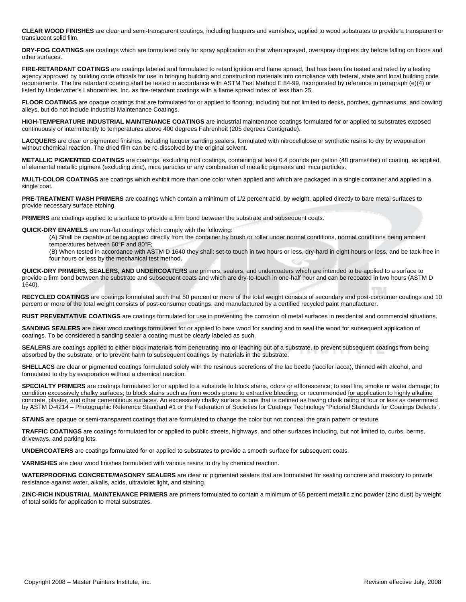**CLEAR WOOD FINISHES** are clear and semi-transparent coatings, including lacquers and varnishes, applied to wood substrates to provide a transparent or translucent solid film.

**DRY-FOG COATINGS** are coatings which are formulated only for spray application so that when sprayed, overspray droplets dry before falling on floors and other surfaces.

**FIRE-RETARDANT COATINGS** are coatings labeled and formulated to retard ignition and flame spread, that has been fire tested and rated by a testing agency approved by building code officials for use in bringing building and construction materials into compliance with federal, state and local building code requirements. The fire retardant coating shall be tested in accordance with ASTM Test Method E 84-99, incorporated by reference in paragraph (e)(4) or listed by Underwriter's Laboratories, Inc. as fire-retardant coatings with a flame spread index of less than 25.

FLOOR COATINGS are opaque coatings that are formulated for or applied to flooring; including but not limited to decks, porches, gymnasiums, and bowling alleys, but do not include Industrial Maintenance Coatings.

**HIGH-TEMPERATURE INDUSTRIAL MAINTENANCE COATINGS** are industrial maintenance coatings formulated for or applied to substrates exposed continuously or intermittently to temperatures above 400 degrees Fahrenheit (205 degrees Centigrade).

**LACQUERS** are clear or pigmented finishes, including lacquer sanding sealers, formulated with nitrocellulose or synthetic resins to dry by evaporation without chemical reaction. The dried film can be re-dissolved by the original solvent.

**METALLIC PIGMENTED COATINGS** are coatings, excluding roof coatings, containing at least 0.4 pounds per gallon (48 grams/liter) of coating, as applied, of elemental metallic pigment (excluding zinc), mica particles or any combination of metallic pigments and mica particles.

**MULTI-COLOR COATINGS** are coatings which exhibit more than one color when applied and which are packaged in a single container and applied in a single coat.

**PRE-TREATMENT WASH PRIMERS** are coatings which contain a minimum of 1/2 percent acid, by weight, applied directly to bare metal surfaces to provide necessary surface etching.

**PRIMERS** are coatings applied to a surface to provide a firm bond between the substrate and subsequent coats.

**QUICK-DRY ENAMELS** are non-flat coatings which comply with the following:

(A) Shall be capable of being applied directly from the container by brush or roller under normal conditions, normal conditions being ambient temperatures between 60°F and 80°F;

(B) When tested in accordance with ASTM D 1640 they shall: set-to touch in two hours or less, dry-hard in eight hours or less, and be tack-free in four hours or less by the mechanical test method.

**QUICK-DRY PRIMERS, SEALERS, AND UNDERCOATERS** are primers, sealers, and undercoaters which are intended to be applied to a surface to provide a firm bond between the substrate and subsequent coats and which are dry-to-touch in one-half hour and can be recoated in two hours (ASTM D 1640).

**RECYCLED COATINGS** are coatings formulated such that 50 percent or more of the total weight consists of secondary and post-consumer coatings and 10 percent or more of the total weight consists of post-consumer coatings, and manufactured by a certified recycled paint manufacturer.

**RUST PREVENTATIVE COATINGS** are coatings formulated for use in preventing the corrosion of metal surfaces in residential and commercial situations.

**SANDING SEALERS** are clear wood coatings formulated for or applied to bare wood for sanding and to seal the wood for subsequent application of coatings. To be considered a sanding sealer a coating must be clearly labeled as such.

**SEALERS** are coatings applied to either block materials from penetrating into or leaching out of a substrate, to prevent subsequent coatings from being absorbed by the substrate, or to prevent harm to subsequent coatings by materials in the substrate.

**SHELLACS** are clear or pigmented coatings formulated solely with the resinous secretions of the lac beetle (laccifer lacca), thinned with alcohol, and formulated to dry by evaporation without a chemical reaction.

SPECIALTY PRIMERS are coatings formulated for or applied to a substrate to block stains, odors or efflorescence; to seal fire, smoke or water damage; to condition excessively chalky surfaces; to block stains such as from woods prone to extractive.bleeding; or recommended for application to highly alkaline concrete, plaster, and other cementitious surfaces. An excessively chalky surface is one that is defined as having chalk rating of four or less as determined by ASTM D-4214 – Photographic Reference Standard #1 or the Federation of Societies for Coatings Technology "Pictorial Standards for Coatings Defects".

**STAINS** are opaque or semi-transparent coatings that are formulated to change the color but not conceal the grain pattern or texture.

**TRAFFIC COATINGS** are coatings formulated for or applied to public streets, highways, and other surfaces including, but not limited to, curbs, berms, driveways, and parking lots.

**UNDERCOATERS** are coatings formulated for or applied to substrates to provide a smooth surface for subsequent coats.

**VARNISHES** are clear wood finishes formulated with various resins to dry by chemical reaction.

**WATERPROOFING CONCRETE/MASONRY SEALERS** are clear or pigmented sealers that are formulated for sealing concrete and masonry to provide resistance against water, alkalis, acids, ultraviolet light, and staining.

**ZINC-RICH INDUSTRIAL MAINTENANCE PRIMERS** are primers formulated to contain a minimum of 65 percent metallic zinc powder (zinc dust) by weight of total solids for application to metal substrates.